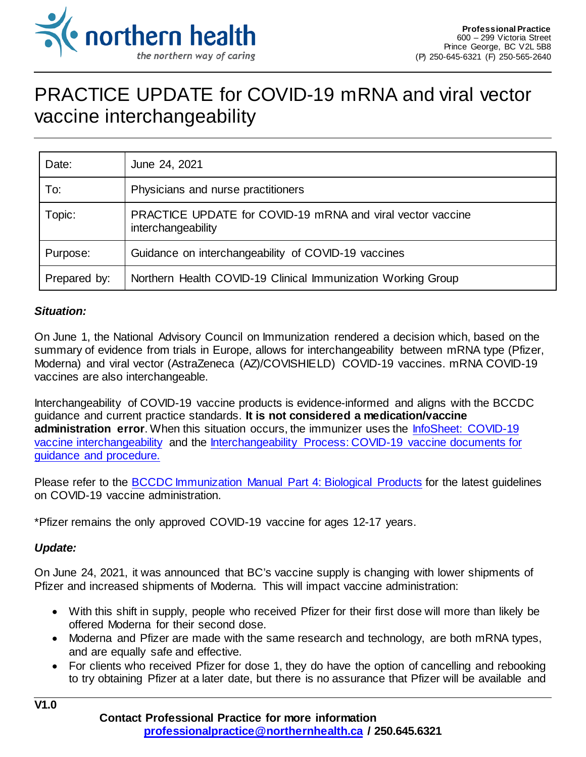

## PRACTICE UPDATE for COVID-19 mRNA and viral vector vaccine interchangeability

| Date:        | June 24, 2021                                                                    |
|--------------|----------------------------------------------------------------------------------|
| To:          | Physicians and nurse practitioners                                               |
| Topic:       | PRACTICE UPDATE for COVID-19 mRNA and viral vector vaccine<br>interchangeability |
| Purpose:     | Guidance on interchangeability of COVID-19 vaccines                              |
| Prepared by: | Northern Health COVID-19 Clinical Immunization Working Group                     |

## *Situation:*

On June 1, the National Advisory Council on Immunization rendered a decision which, based on the summary of evidence from trials in Europe, allows for interchangeability between mRNA type (Pfizer, Moderna) and viral vector (AstraZeneca (AZ)/COVISHIELD) COVID-19 vaccines. mRNA COVID-19 vaccines are also interchangeable.

Interchangeability of COVID-19 vaccine products is evidence-informed and aligns with the BCCDC guidance and current practice standards. **It is not considered a medication/vaccine administration error**. When this situation occurs, the immunizer uses the InfoSheet: COVID-19 [vaccine interchangeability](https://physicians.northernhealth.ca/sites/physicians/files/physician-resources/covid-19/covid-19-vaccine-interchangeability.pdf) and the [Interchangeability Process: COVID-19 vaccine documents for](https://physicians.northernhealth.ca/sites/physicians/files/physician-resources/covid-19/covid-19-vaccine-interchangeability-process.pdf) [guidance and procedure.](https://physicians.northernhealth.ca/sites/physicians/files/physician-resources/covid-19/covid-19-vaccine-interchangeability-process.pdf)

Please refer to the [BCCDC Immunization Manual Part 4: Biological Products](http://www.bccdc.ca/health-professionals/clinical-resources/communicable-disease-control-manual/immunization/biological-products) for the latest guidelines on COVID-19 vaccine administration.

\*Pfizer remains the only approved COVID-19 vaccine for ages 12-17 years.

## *Update:*

On June 24, 2021, it was announced that BC's vaccine supply is changing with lower shipments of Pfizer and increased shipments of Moderna. This will impact vaccine administration:

- With this shift in supply, people who received Pfizer for their first dose will more than likely be offered Moderna for their second dose.
- Moderna and Pfizer are made with the same research and technology, are both mRNA types, and are equally safe and effective.
- For clients who received Pfizer for dose 1, they do have the option of cancelling and rebooking to try obtaining Pfizer at a later date, but there is no assurance that Pfizer will be available and